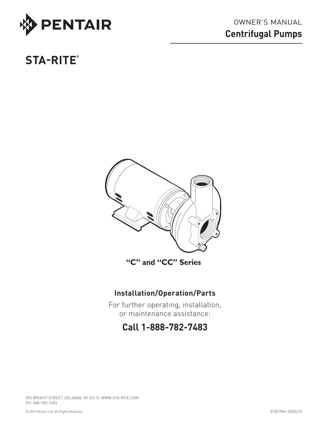

# **STA-RITE®**



**"C" and "CC" Series**

# **Installation/Operation/Parts**

For further operating, installation, or maintenance assistance:

# **Call 1-888-782-7483**

293 WRIGHT STREET, DELAVAN, WI 53115 WWW.sta-rite.COM PH: 888-782-7483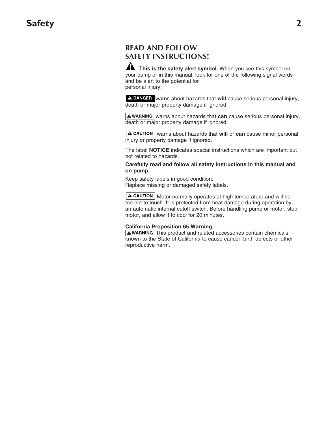## **READ AND FOLLOW SAFETY INSTRUCTIONS!**

**A** This is the safety alert symbol. When you see this symbol on your pump or in this manual, look for one of the following signal words and be alert to the potential for personal injury:

A DANGER warns about hazards that will cause serious personal injury, death or major property damage if ignored.

**A WARNING** warns about hazards that **can** cause serious personal injury, death or major property damage if ignored.

**A CAUTION** warns about hazards that will or can cause minor personal injury or property damage if ignored.

The label **NOTICE** indicates special instructions which are important but not related to hazards.

**Carefully read and follow all safety instructions in this manual and on pump.**

Keep safety labels in good condition. Replace missing or damaged safety labels.

 $\mathbf A$  CAUTION | Motor normally operates at high temperature and will be too hot to touch. It is protected from heat damage during operation by an automatic internal cutoff switch. Before handling pump or motor, stop motor, and allow it to cool for 20 minutes.

#### **California Proposition 65 Warning**

 $A$  WARNING This product and related accessories contain chemicals known to the State of California to cause cancer, birth defects or other reproductive harm.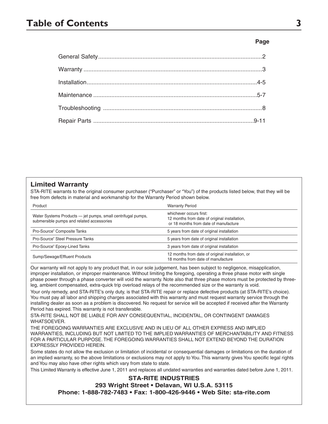# **Table of Contents 3**

#### **Page**

#### **Limited Warranty**

STA-RITE warrants to the original consumer purchaser ("Purchaser" or "You") of the products listed below, that they will be free from defects in material and workmanship for the Warranty Period shown below.

| Product                                                                                                   | <b>Warranty Period</b>                                                                                            |
|-----------------------------------------------------------------------------------------------------------|-------------------------------------------------------------------------------------------------------------------|
| Water Systems Products — jet pumps, small centrifugal pumps,<br>submersible pumps and related accessories | whichever occurs first:<br>12 months from date of original installation,<br>or 18 months from date of manufacture |
| Pro-Source <sup>®</sup> Composite Tanks                                                                   | 5 years from date of original installation                                                                        |
| Pro-Source® Steel Pressure Tanks                                                                          | 5 years from date of original installation                                                                        |
| Pro-Source® Epoxy-Lined Tanks                                                                             | 3 years from date of original installation                                                                        |
| Sump/Sewage/Effluent Products                                                                             | 12 months from date of original installation, or<br>18 months from date of manufacture                            |

Our warranty will not apply to any product that, in our sole judgement, has been subject to negligence, misapplication, improper installation, or improper maintenance. Without limiting the foregoing, operating a three phase motor with single phase power through a phase converter will void the warranty. Note also that three phase motors must be protected by threeleg, ambient compensated, extra-quick trip overload relays of the recommended size or the warranty is void.

Your only remedy, and STA-RITE's only duty, is that STA-RITE repair or replace defective products (at STA-RITE's choice). You must pay all labor and shipping charges associated with this warranty and must request warranty service through the installing dealer as soon as a problem is discovered. No request for service will be accepted if received after the Warranty Period has expired. This warranty is not transferable.

STA-RITE SHALL NOT BE LIABLE FOR ANY CONSEQUENTIAL, INCIDENTAL, OR CONTINGENT DAMAGES WHATSOEVER.

THE FOREGOING WARRANTIES ARE EXCLUSIVE AND IN LIEU OF ALL OTHER EXPRESS AND IMPLIED WARRANTIES, INCLUDING BUT NOT LIMITED TO THE IMPLIED WARRANTIES OF MERCHANTABILITY AND FITNESS FOR A PARTICULAR PURPOSE. THE FOREGOING WARRANTIES SHALL NOT EXTEND BEYOND THE DURATION EXPRESSLY PROVIDED HEREIN.

Some states do not allow the exclusion or limitation of incidental or consequential damages or limitations on the duration of an implied warranty, so the above limitations or exclusions may not apply to You. This warranty gives You specific legal rights and You may also have other rights which vary from state to state.

This Limited Warranty is effective June 1, 2011 and replaces all undated warranties and warranties dated before June 1, 2011.

#### **STA-RITE INDUSTRIES**

#### **293 Wright Street • Delavan, WI U.S.A. 53115**

**Phone: 1-888-782-7483 • Fax: 1-800-426-9446 • Web Site: sta-rite.com**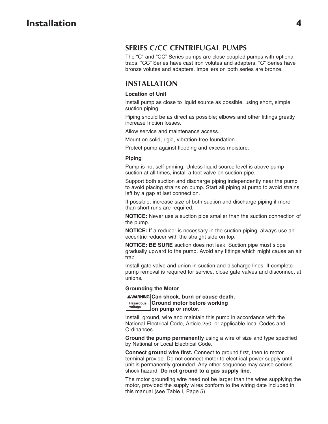### **Series C/CC Centrifugal Pumps**

The "C" and "CC" Series pumps are close coupled pumps with optional traps. "CC" Series have cast iron volutes and adapters. "C" Series have bronze volutes and adapters. Impellers on both series are bronze.

### **Installation**

#### **Location of Unit**

Install pump as close to liquid source as possible, using short, simple suction piping.

Piping should be as direct as possible; elbows and other fittings greatly increase friction losses.

Allow service and maintenance access.

Mount on solid, rigid, vibration-free foundation.

Protect pump against flooding and excess moisture.

#### **Piping**

Pump is not self-priming. Unless liquid source level is above pump suction at all times, install a foot valve on suction pipe.

Support both suction and discharge piping independently near the pump to avoid placing strains on pump. Start all piping at pump to avoid strains left by a gap at last connection.

If possible, increase size of both suction and discharge piping if more than short runs are required.

**NOTICE:** Never use a suction pipe smaller than the suction connection of the pump.

**NOTICE:** If a reducer is necessary in the suction piping, always use an eccentric reducer with the straight side on top.

**NOTICE: BE SURE** suction does not leak. Suction pipe must slope gradually upward to the pump. Avoid any fittings which might cause an air trap.

Install gate valve and union in suction and discharge lines. If complete pump removal is required for service, close gate valves and disconnect at unions.

#### **Grounding the Motor**

**Hazardous voltage AWARNING Can shock, burn or cause death. Ground motor before working on pump or motor.**

Install, ground, wire and maintain this pump in accordance with the National Electrical Code, Article 250, or applicable local Codes and Ordinances.

**Ground the pump permanently** using a wire of size and type specified by National or Local Electrical Code.

**Connect ground wire first.** Connect to ground first, then to motor terminal provide. Do not connect motor to electrical power supply until unit is permanently grounded. Any other sequence may cause serious shock hazard. **Do not ground to a gas supply line.**

The motor grounding wire need not be larger than the wires supplying the motor, provided the supply wires conform to the wiring date included in this manual (see Table I, Page 5).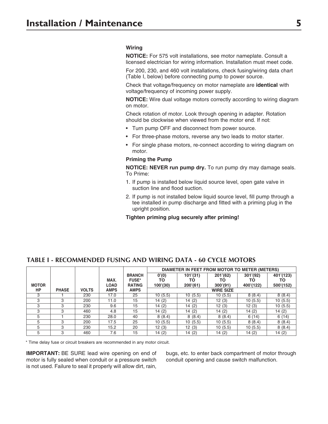#### **Wiring**

**NOTICE:** For 575 volt installations, see motor nameplate. Consult a licensed electrician for wiring information. Installation must meet code.

For 200, 230, and 460 volt installations, check fusing/wiring data chart (Table I, below) before connecting pump to power source.

Check that voltage/frequency on motor nameplate are **identical** with voltage/frequency of incoming power supply.

**NOTICE:** Wire dual voltage motors correctly according to wiring diagram on motor.

Check rotation of motor. Look through opening in adapter. Rotation should be clockwise when viewed from the motor end. If not:

- Turn pump OFF and disconnect from power source.
- For three-phase motors, reverse any two leads to motor starter.
- For single phase motors, re-connect according to wiring diagram on motor.

#### **Priming the Pump**

**NOTICE: NEVER run pump dry.** To run pump dry may damage seals. To Prime:

- 1. If pump is installed below liquid source level, open gate valve in suction line and flood suction.
- 2. If pump is not installed below liquid source level, fill pump through a tee installed in pump discharge and fitted with a priming plug in the upright position.

**Tighten priming plug securely after priming!**

|              |              |              |             |               | DIAMETER IN FEET FROM MOTOR TO METER (METERS) |          |          |           |           |
|--------------|--------------|--------------|-------------|---------------|-----------------------------------------------|----------|----------|-----------|-----------|
|              |              |              |             | <b>BRANCH</b> | 0'(0)                                         | 101'(31) | 201'(62) | 301'(92)  | 401'(123) |
|              |              |              | MAX.        | <b>FUSE*</b>  | то                                            | ТΟ       | то       | ΤО        | ΤО        |
| <b>MOTOR</b> |              |              | <b>LOAD</b> | <b>RATING</b> | 100'(30)                                      | 200'(61) | 300'(91) | 400'(122) | 500'(152) |
| HP           | <b>PHASE</b> | <b>VOLTS</b> | <b>AMPS</b> | <b>AMPS</b>   | <b>WIRE SIZE</b>                              |          |          |           |           |
| 3            |              | 230          | 17.0        | 25            | 10(5.5)                                       | 10(5.5)  | 10(5.5)  | 8(8.4)    | 8(8.4)    |
| 3            | З            | 200          | 11.0        | 15            | 14(2)                                         | 14 (2)   | 12(3)    | 10(5.5)   | 10(5.5)   |
| 3            | 3            | 230          | 9.6         | 15            | 14(2)                                         | 14(2)    | 12(3)    | 12(3)     | 10(5.5)   |
| 3            | 3            | 460          | 4.8         | 15            | 14(2)                                         | 14 (2)   | 14 (2)   | 14 (2)    | 14(2)     |
| 5            |              | 230          | 28.0        | 40            | 8(8.4)                                        | 8(8.4)   | 8(8.4)   | 6(14)     | 6(14)     |
| 5            | 3            | 200          | 17.5        | 25            | 10(5.5)                                       | 10(5.5)  | 10(5.5)  | 8(8.4)    | 8(8.4)    |
| 5            | 3            | 230          | 15.2        | 20            | 12(3)                                         | 12(3)    | 10(5.5)  | 10(5.5)   | 8(8.4)    |
| 5            | 3            | 460          | 7.6         | 15            | 14(2)                                         | 14(2)    | 14(2)    | 14(2)     | 14(2)     |

#### **TABLE I - RECOMMENDED FUSING AND WIRING DATA - 60 CYCLE MOTORS**

\* Time delay fuse or circuit breakers are recommended in any motor circuit.

**IMPORTANT:** BE SURE lead wire opening on end of motor is fully sealed when conduit or a pressure switch is not used. Failure to seal it properly will allow dirt, rain, bugs, etc. to enter back compartment of motor through conduit opening and cause switch malfunction.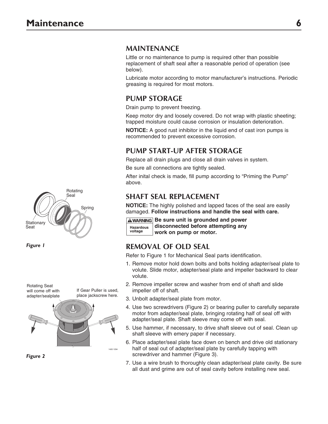### **MAINTENANCE**

Little or no maintenance to pump is required other than possible replacement of shaft seal after a reasonable period of operation (see below).

Lubricate motor according to motor manufacturer's instructions. Periodic greasing is required for most motors.

### **PUMP STORAGE**

Drain pump to prevent freezing.

Keep motor dry and loosely covered. Do not wrap with plastic sheeting; trapped moisture could cause corrosion or insulation deterioration.

**NOTICE:** A good rust inhibitor in the liquid end of cast iron pumps is recommended to prevent excessive corrosion.

### **PUMP START-UP AFTER STORAGE**

Replace all drain plugs and close all drain valves in system.

Be sure all connections are tightly sealed.

After inital check is made, fill pump according to "Priming the Pump" above.

## **SHAFT SEAL REPLACEMENT**

**NOTICE:** The highly polished and lapped faces of the seal are easily damaged. **Follow instructions and handle the seal with care.**



**AWARNING Be sure unit is grounded and power disconnected before attempting any work on pump or motor.**

# **REMOVAL OF OLD SEAL**

Refer to Figure 1 for Mechanical Seal parts identification.

- 1. Remove motor hold down bolts and bolts holding adapter/seal plate to volute. Slide motor, adapter/seal plate and impeller backward to clear volute.
- 2. Remove impeller screw and washer from end of shaft and slide impeller off of shaft.
- 3. Unbolt adapter/seal plate from motor.
- 4. Use two screwdrivers (Figure 2) or bearing puller to carefully separate motor from adapter/seal plate, bringing rotating half of seal off with adapter/seal plate. Shaft sleeve may come off with seal.
- 5. Use hammer, if necessary, to drive shaft sleeve out of seal. Clean up shaft sleeve with emery paper if necessary.
- 6. Place adapter/seal plate face down on bench and drive old stationary half of seal out of adapter/seal plate by carefully tapping with screwdriver and hammer (Figure 3).
- 7. Use a wire brush to thoroughly clean adapter/seal plate cavity. Be sure all dust and grime are out of seal cavity before installing new seal.



*Figure 1*



*Figure 2*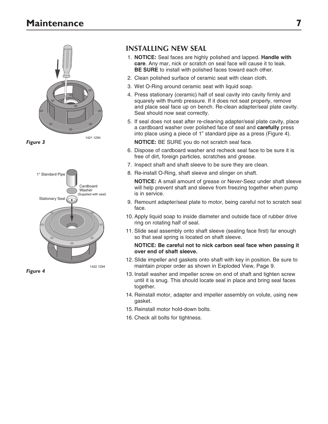

*Figure 3*



*Figure 4*

### **INSTALLING NEW SEAL**

- 1. **NOTICE:** Seal faces are highly polished and lapped. **Handle with care**. Any mar, nick or scratch on seal face will cause it to leak. **BE SURE** to install with polished faces toward each other.
- 2. Clean polished surface of ceramic seat with clean cloth.
- 3. Wet O-Ring around ceramic seat with liquid soap.
- 4. Press stationary (ceramic) half of seal cavity into cavity firmly and squarely with thumb pressure. If it does not seat properly, remove and place seal face up on bench. Re-clean adapter/seal plate cavity. Seal should now seat correctly.
- 5. If seal does not seat after re-cleaning adapter/seal plate cavity, place a cardboard washer over polished face of seal and **carefully** press into place using a piece of 1" standard pipe as a press (Figure 4).

**NOTICE:** BE SURE you do not scratch seal face.

- 6. Dispose of cardboard washer and recheck seal face to be sure it is free of dirt, foreign particles, scratches and grease.
- 7. Inspect shaft and shaft sleeve to be sure they are clean.
- 8. Re-install O-Ring, shaft sleeve and slinger on shaft.

**NOTICE:** A small amount of grease or Never-Seez under shaft sleeve will help prevent shaft and sleeve from freezing together when pump is in service.

- 9. Remount adapter/seal plate to motor, being careful not to scratch seal face.
- 10. Apply liquid soap to inside diameter and outside face of rubber drive ring on rotating half of seal.
- 11. Slide seal assembly onto shaft sleeve (sealing face first) far enough so that seal spring is located on shaft sleeve.

#### **NOTICE: Be careful not to nick carbon seal face when passing it over end of shaft sleeve.**

- 12. Slide impeller and gaskets onto shaft with key in position. Be sure to maintain proper order as shown in Exploded View, Page 9.
- 13. Install washer and impeller screw on end of shaft and tighten screw until it is snug. This should locate seal in place and bring seal faces together.
- 14. Reinstall motor, adapter and impeller assembly on volute, using new gasket.
- 15. Reinstall motor hold-down bolts.
- 16. Check all bolts for tightness.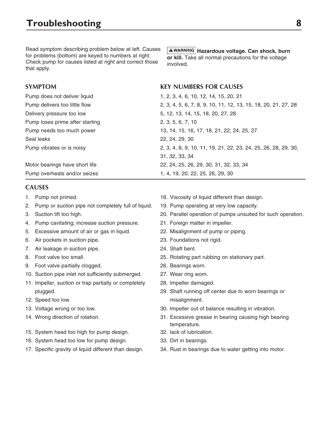Read symptom describing problem below at left. Causes for problems (bottom) are keyed to numbers at right. Check pump for causes listed at right and correct those that apply.

#### **Hazardous voltage. Can shock, burn or kill.** Take all normal precautions for the voltage involved.

### **SYMPTOM KEY NUMBERS FOR CAUSES** Pump does not deliver liquid 1, 2, 3, 4, 6, 10, 12, 14, 15, 20, 21 Pump delivers too little flow 2, 3, 4, 5, 6, 7, 8, 9, 10, 11, 12, 13, 15, 18, 20, 21, 27, 28 Delivery pressure too low 5, 12, 13, 14, 15, 18, 20, 27, 28 Pump loses prime after starting 2, 3, 5, 6, 7, 10 Pump needs too much power 13, 14, 15, 16, 17, 18, 21, 22, 24, 25, 27 Seal leaks 22, 24, 29, 30 Pump vibrates or is noisy 2, 3, 4, 8, 9, 10, 11, 19, 21, 22, 23, 24, 25, 26, 28, 29, 30, 31, 32, 33, 34 Motor bearings have short life 22, 24, 25, 26, 29, 30, 31, 32, 33, 34 Pump overheats and/or seizes 1, 4, 19, 20, 22, 25, 26, 29, 30

### **CAUSES**

- 
- 2. Pump or suction pipe not completely full of liquid. 19. Pump operating at very low capacity.
- 
- 4. Pump cavitating; increase suction pressure. 21. Foreign matter in impeller.
- 5. Excessive amount of air or gas in liquid. 22. Misalignment of pump or piping.
- 6. Air pockets in suction pipe. 23. Foundations not rigid.
- 7. Air leakage in suction pipe. 24. Shaft bent.
- 
- 9. Foot valve partially clogged. 26. Bearings worn.
- 10. Suction pipe inlet not sufficiently submerged. 27. Wear ring worn.
- 11. Impeller, suction or trap partially or completely 28. Impeller damaged.
- 12. Speed too low. The contract of the contract of the misalignment.
- 
- 
- 15. System head too high for pump design. 32. lack of lubrication.
- 16. System head too low for pump design. 33. Dirt in bearings.
- 
- 1. Pump not primed. 18. Viscosity of liquid different than design.
	-
- 3. Suction lift too high. 20. Parallel operation of pumps unsuited for such operation.
	-
	-
	-
	-
- 8. Foot valve too small. 25. Rotating part rubbing on stationary part.
	-
	-
	-
	- plugged. 29. Shaft running off center due to worn bearings or
- 13. Voltage wrong or too low. 30. Impeller out of balance resulting in vibration.
- 14. Wrong direction of rotation. 31. Excessive grease in bearing causing high bearing temperature.
	-
	-
- 17. Specific gravity of liquid different than design. 34. Rust in bearings due to water getting into motor.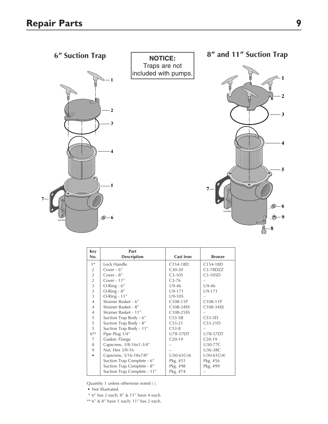

| Key            | Part                        |                  |               |
|----------------|-----------------------------|------------------|---------------|
| No.            | <b>Description</b>          | <b>Cast Iron</b> | <b>Bronze</b> |
| $1*$           | Lock Handle                 | C154-18D         | C154-18D      |
| $\overline{2}$ | Cover - 6"                  | $C30-30$         | $C3-78DZZ$    |
| $\overline{2}$ | Cover - 8"                  | $C3-105$         | $C3-105D$     |
| $\overline{2}$ | Cover - $11"$               | $C3-76$          |               |
| 3              | $O-Ring - 6"$               | $U9-46$          | $U9-46$       |
| 3              | O-Ring - 8"                 | $U9-171$         | $U9-171$      |
| 3              | $O-Ring - 11''$             | $U9-105$         |               |
| $\overline{4}$ | Strainer Basket - 6"        | C108-11P         | C108-11P      |
| $\overline{4}$ | Strainer Basket - 8"        | C108-34SS        | C108-34SS     |
| 4              | Strainer Basket - 11"       | C108-25SS        |               |
| 5              | Suction Trap Body - 6"      | $C53-5B$         | $C53-5D$      |
| 5              | Suction Trap Body - 8"      | $C53-21$         | $C53-21D$     |
| 5              | Suction Trap Body - 11"     | $C53-8$          |               |
| $6***$         | Pipe Plug 1/4"              | U78-57DT         | U78-57DT      |
| 7              | Gasket, Flange              | $C_{20-19}$      | $C_{20-19}$   |
| 8              | Capscrew, 3/8-16x1-3/4"     |                  | U30-77C       |
| 9              | Nut, Hex 3/8-16             |                  | U36-38C       |
|                | Capscrew, 5/16-18x7/8"      | $U30-61C(4)$     | $U30-61C(4)$  |
|                | Suction Trap Complete - 6"  | Pkg. #51         | Pkg. #56      |
|                | Suction Trap Complete - 8"  | Pkg. #98         | Pkg. #99      |
|                | Suction Trap Complete - 11" | Pkg. #74         |               |

Quantity 1 unless otherwise noted ( ).

• Not illustrated.

- \* 6" has 2 each; 8" & 11" have 4 each.
- \*\* 6" & 8" have 1 each; 11" has 2 each.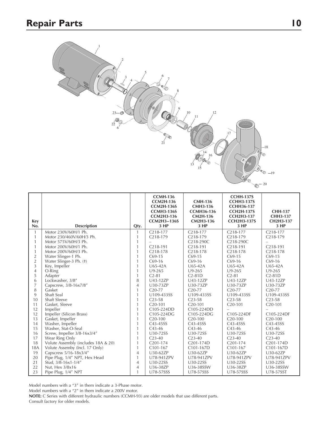

| <b>Key</b>                            |                                     |                | <b>CCMH-136</b><br><b>CCM2H-136</b><br><b>CCM2H-136S</b><br><b>CCMH3-136S</b><br><b>CCM2H3-136</b><br><b>CCM2H3--136S</b> | <b>CMH-136</b><br><b>CMH3-136</b><br><b>CCMH36-136</b><br><b>CM2H-136</b><br>CM2H3-136 | <b>CCHH-137S</b><br><b>CCHH3-137S</b><br><b>CCHH36-137</b><br><b>CCH2H-137S</b><br><b>CCH2H3-137</b><br><b>CCH2H3-137S</b> | <b>CHH-137</b><br>CHH3-137<br>CH2H3-137 |
|---------------------------------------|-------------------------------------|----------------|---------------------------------------------------------------------------------------------------------------------------|----------------------------------------------------------------------------------------|----------------------------------------------------------------------------------------------------------------------------|-----------------------------------------|
| No.                                   | <b>Description</b>                  | Qty.           | 3 HP                                                                                                                      | 3 HP                                                                                   | 3 HP                                                                                                                       | 3 HP                                    |
| $\mathbf{1}$                          | Motor 230V/60H/1 Ph.                | 1              | $C218-177$                                                                                                                | C <sub>2</sub> 18-177                                                                  | $C218-177$                                                                                                                 | $C218-177$                              |
| $\mathbf{1}$                          | Motor 230/460V/60H/3 Ph.            | 1              | C <sub>2</sub> 18-179                                                                                                     | C <sub>2</sub> 18-179                                                                  | C <sub>2</sub> 18-179                                                                                                      | C <sub>2</sub> 18-179                   |
| $\mathbf{1}$                          | Motor 575V/60H/3 Ph.                | 1              |                                                                                                                           | C <sub>2</sub> 18-290C                                                                 | C218-290C                                                                                                                  |                                         |
| $\mathbf{1}$                          | Motor 200V/60H/1 Ph.                | $\mathbf{1}$   | $C218-191$                                                                                                                | C <sub>2</sub> 18-191                                                                  | $C218-191$                                                                                                                 | C <sub>2</sub> 18-191                   |
| $\mathbf{1}$                          | Motor 200V/60H/3 Ph.                | $\mathbf{1}$   | $C218-178$                                                                                                                | $C218-178$                                                                             | $C218-178$                                                                                                                 | $C218-178$                              |
| $\begin{array}{c} 2 \\ 2 \end{array}$ | Water Slinger-1 Ph.                 | $\mathbf{1}$   | $C69-15$                                                                                                                  | $C69-15$                                                                               | $C69-15$                                                                                                                   | $C69-15$                                |
|                                       | Water Slinger-3 Ph. (+)             | $\mathbf{1}$   | $C69-16$                                                                                                                  | $C69-16$                                                                               | $C69-16$                                                                                                                   | $C69-16$                                |
| $\overline{3}$                        | Key, Impeller                       | $\mathbf{1}$   | $U65-42A$                                                                                                                 | $U65-42A$                                                                              | $U65-42A$                                                                                                                  | $U65-42A$                               |
| $\overline{4}$                        | O-Ring                              | $\mathbf{1}$   | $U9-265$                                                                                                                  | $U9-265$                                                                               | $U9 - 265$                                                                                                                 | $U9-265$                                |
| 5                                     | Adapter                             | $\mathbf{1}$   | $C2-81$                                                                                                                   | $C2-81D$                                                                               | $C2-81$                                                                                                                    | $C2-81D$                                |
| 6                                     | Lockwasher, 3/8"                    | 8              | U43-12ZP                                                                                                                  | U43-12ZP                                                                               | U43-12ZP                                                                                                                   | U43-12ZP                                |
| $\overline{7}$                        | Capscrew, 3/8-16x7/8"               | $\overline{4}$ | U30-73ZP                                                                                                                  | U30-73ZP                                                                               | U30-73ZP                                                                                                                   | U30-73ZP                                |
| 8                                     | Gasket                              | $\mathbf{1}$   | $C20-77$                                                                                                                  | $C20-77$                                                                               | $C20-77$                                                                                                                   | $C20-77$                                |
| 9                                     | Shaft Seal                          | $\mathbf{1}$   | U109-433SS                                                                                                                | U109-433SS                                                                             | U109-433SS                                                                                                                 | U109-433SS                              |
| 10                                    | Shaft Sleeve                        | 1              | $C23-58$                                                                                                                  | $C23-58$                                                                               | $C23-58$                                                                                                                   | $C23-58$                                |
| 11                                    | Gasket, Sleeve                      | $\mathbf{1}$   | $C20-101$                                                                                                                 | $C20-101$                                                                              | $C20-101$                                                                                                                  | $C20-101$                               |
| 12                                    | Impeller                            | $\mathbf{1}$   | C105-224DD                                                                                                                | C105-224DD                                                                             | -                                                                                                                          |                                         |
| 12                                    | Impeller (Silicon Brass)            | $\mathbf{1}$   | C105-224DG                                                                                                                | C105-224DG                                                                             | C105-224DF                                                                                                                 | C105-224DF                              |
| 13                                    | Gasket, Impeller                    | $\mathbf{1}$   | $C20-100$                                                                                                                 | $C20-100$                                                                              | $C_{20-100}$                                                                                                               | $C_{20-100}$                            |
| 14                                    | Washer, Impeller                    | $\mathbf{1}$   | C43-45SS                                                                                                                  | C43-45SS                                                                               | C43-45SS                                                                                                                   | C43-45SS                                |
| 15                                    | Washer, Stat-O-Seal                 | $\mathbf{1}$   | $C_{43-46}$                                                                                                               | $C43-46$                                                                               | $C43-46$                                                                                                                   | $C43-46$                                |
| 16                                    | Screw, Impeller 3/8-16x3/4"         | $\mathbf{1}$   | U30-72SS                                                                                                                  | U30-72SS                                                                               | U30-72SS                                                                                                                   | U30-72SS                                |
| 17                                    | Wear Ring Only                      | 1              | $C23-40$                                                                                                                  | $C23-40$                                                                               | $C23-40$                                                                                                                   | $C23-40$                                |
| 18                                    | Volute Assembly (includes 18A & 20) | 1              | $C201 - 174$                                                                                                              | C <sub>201</sub> -174D                                                                 | C <sub>2</sub> 01-174                                                                                                      | C201-174D                               |
| <b>18A</b>                            | Volute Assemby (Incl. 17 Only)      | $\mathbf{1}$   | $C101-167$                                                                                                                | C101-167D                                                                              | $C101-167$                                                                                                                 | C101-167D                               |
| 19                                    | Capscrew 5/16-18x3/4"               | $\overline{4}$ | U30-62ZP                                                                                                                  | U30-62ZP                                                                               | U30-62ZP                                                                                                                   | U30-62ZP                                |
| 20                                    | Pipe Plug, 1/4" NPT, Hex Head       | 1              | U78-941ZPV                                                                                                                | U78-941ZPV                                                                             | U78-941ZPV                                                                                                                 | U78-941ZPV                              |
| 21                                    | Stud, 3/8-16x1-1/4"                 | $\overline{4}$ | U30-22SS                                                                                                                  | U30-22SS                                                                               | U30-22SS                                                                                                                   | U30-22SS                                |
| 22                                    | Nut, Hex 3/8x16                     | $\overline{4}$ | U36-38ZP                                                                                                                  | U36-38SSW                                                                              | U36-38ZP                                                                                                                   | U36-38SSW                               |
| 23                                    | Pipe Plug, 1/4" NPT                 | $\mathbf{1}$   | U78-57SSS                                                                                                                 | U78-57SSS                                                                              | U78-57SSS                                                                                                                  | U78-57SST                               |

Model numbers with a "3" in them indicate a 3-Phase motor.

Model numbers with a "2" in them indicate a 200V motor.

**NOTE:** C Series with different hydraulic numbers (CCMH-93) are older models that use different parts. Consult factory for older models.